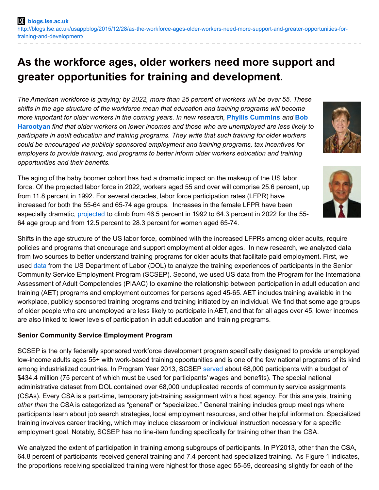# **As the workforce ages, older workers need more support and greater opportunities for training and development.**

*The American workforce is graying; by 2022, more than 25 percent of workers will be over 55. These shifts in the age structure of the workforce mean that education and training programs will become more important for older workers in the coming years. In new research,* **Phyllis [Cummins](http://wp.me/p3I2YF-4EO#Author)** *and* **Bob Harootyan** *find that older workers on lower incomes and those who are [unemployed](http://wp.me/p3I2YF-4EO#Author) are less likely to participate in adult education and training programs. They write that such training for older workers could be encouraged via publicly sponsored employment and training programs, tax incentives for employers to provide training, and programs to better inform older workers education and training opportunities and their benefits.*

The aging of the baby boomer cohort has had a dramatic impact on the makeup of the US labor force. Of the projected labor force in 2022, workers aged 55 and over will comprise 25.6 percent, up from 11.8 percent in 1992. For several decades, labor force participation rates (LFPR) have increased for both the 55-64 and 65-74 age groups. Increases in the female LFPR have been especially dramatic, [projected](http://www.bls.gov/opub/mlr/2013/article/labor-force-projections-to-2022-the-labor-force-participation-rate-continues-to-fall.htm) to climb from 46.5 percent in 1992 to 64.3 percent in 2022 for the 55- 64 age group and from 12.5 percent to 28.3 percent for women aged 65-74.

Shifts in the age structure of the US labor force, combined with the increased LFPRs among older adults, require policies and programs that encourage and support employment at older ages. In new research, we analyzed data from two sources to better understand training programs for older adults that facilitate paid employment. First, we used [data](http://webcache.googleusercontent.com/search?q=cache:Isndj9a-fMkJ:www.oecd.org/edu/48442549.pdf+&cd=1&hl=en&ct=clnk&gl=us) from the US Department of Labor (DOL) to analyze the training experiences of participants in the Senior Community Service Employment Program (SCSEP). Second, we used US data from the Program for the International Assessment of Adult Competencies (PIAAC) to examine the relationship between participation in adult education and training (AET) programs and employment outcomes for persons aged 45-65. AET includes training available in the workplace, publicly sponsored training programs and training initiated by an individual. We find that some age groups of older people who are unemployed are less likely to participate in AET, and that for all ages over 45, lower incomes are also linked to lower levels of participation in adult education and training programs.

# **Senior Community Service Employment Program**

SCSEP is the only federally sponsored workforce development program specifically designed to provide unemployed low-income adults ages 55+ with work-based training opportunities and is one of the few national programs of its kind among industrialized countries. In Program Year 2013, SCSEP [served](http://www.dol.gov/dol/budget/2016/PDF/CBJ-2016-V1-06.pdf) about 68,000 participants with a budget of \$434.4 million (75 percent of which must be used for participants' wages and benefits). The special national administrative dataset from DOL contained over 68,000 unduplicated records of community service assignments (CSAs). Every CSA is a part-time, temporary job-training assignment with a host agency. For this analysis, training *other than* the CSA is categorized as "general" or "specialized." General training includes group meetings where participants learn about job search strategies, local employment resources, and other helpful information. Specialized training involves career tracking, which may include classroom or individual instruction necessary for a specific employment goal. Notably, SCSEP has no line-item funding specifically for training other than the CSA.

We analyzed the extent of participation in training among subgroups of participants. In PY2013, other than the CSA, 64.8 percent of participants received general training and 7.4 percent had specialized training. As Figure 1 indicates, the proportions receiving specialized training were highest for those aged 55-59, decreasing slightly for each of the



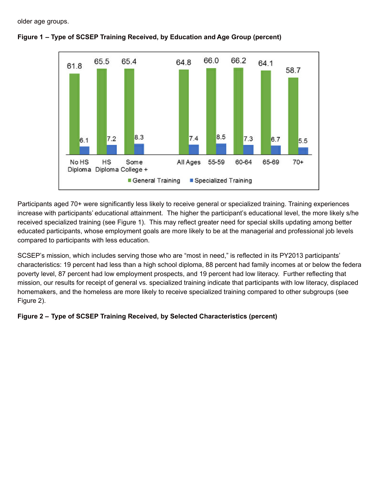older age groups.



### **Figure 1 – Type of SCSEP Training Received, by Education and Age Group (percent)**

Participants aged 70+ were significantly less likely to receive general or specialized training. Training experiences increase with participants' educational attainment. The higher the participant's educational level, the more likely s/he received specialized training (see Figure 1). This may reflect greater need for special skills updating among better educated participants, whose employment goals are more likely to be at the managerial and professional job levels compared to participants with less education.

SCSEP's mission, which includes serving those who are "most in need," is reflected in its PY2013 participants' characteristics: 19 percent had less than a high school diploma, 88 percent had family incomes at or below the federal poverty level, 87 percent had low employment prospects, and 19 percent had low literacy. Further reflecting that mission, our results for receipt of general vs. specialized training indicate that participants with low literacy, displaced homemakers, and the homeless are more likely to receive specialized training compared to other subgroups (see Figure 2).

### **Figure 2 – Type of SCSEP Training Received, by Selected Characteristics (percent)**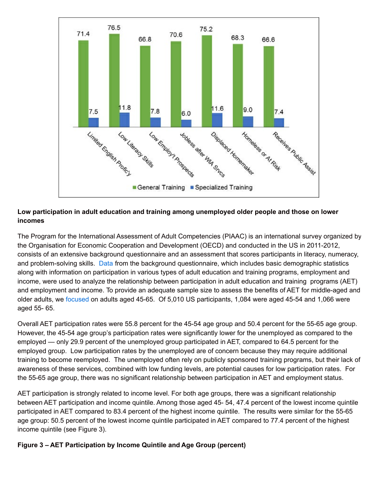

# **Low participation in adult education and training among unemployed older people and those on lower incomes**

The Program for the International Assessment of Adult Competencies (PIAAC) is an international survey organized by the Organisation for Economic Cooperation and Development (OECD) and conducted in the US in 2011-2012, consists of an extensive background questionnaire and an assessment that scores participants in literacy, numeracy, and problem-solving skills. [Data](http://www.oecd.org/site/piaac/Background percent20Questionnaire percent2015DEC10.pdf) from the background questionnaire, which includes basic demographic statistics along with information on participation in various types of adult education and training programs, employment and income, were used to analyze the relationship between participation in adult education and training programs (AET) and employment and income. To provide an adequate sample size to assess the benefits of AET for middle-aged and older adults, we [focused](http://www.oecd.org/site/piaac/publicdataandanalysis.htm) on adults aged 45-65. Of 5,010 US participants, 1,084 were aged 45-54 and 1,066 were aged 55- 65.

Overall AET participation rates were 55.8 percent for the 45-54 age group and 50.4 percent for the 55-65 age group. However, the 45-54 age group's participation rates were significantly lower for the unemployed as compared to the employed — only 29.9 percent of the unemployed group participated in AET, compared to 64.5 percent for the employed group. Low participation rates by the unemployed are of concern because they may require additional training to become reemployed. The unemployed often rely on publicly sponsored training programs, but their lack of awareness of these services, combined with low funding levels, are potential causes for low participation rates. For the 55-65 age group, there was no significant relationship between participation in AET and employment status.

AET participation is strongly related to income level. For both age groups, there was a significant relationship between AET participation and income quintile. Among those aged 45- 54, 47.4 percent of the lowest income quintile participated in AET compared to 83.4 percent of the highest income quintile. The results were similar for the 55-65 age group: 50.5 percent of the lowest income quintile participated in AET compared to 77.4 percent of the highest income quintile (see Figure 3).

### **Figure 3 – AET Participation by Income Quintile and Age Group (percent)**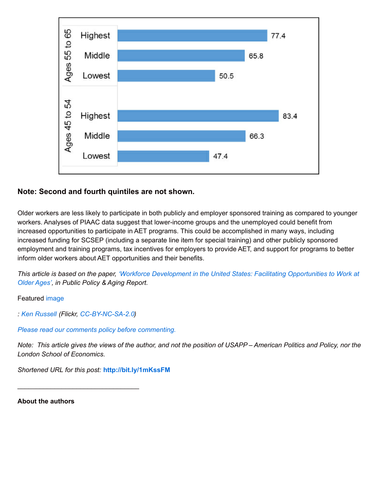

# **Note: Second and fourth quintiles are not shown.**

Older workers are less likely to participate in both publicly and employer sponsored training as compared to younger workers. Analyses of PIAAC data suggest that lower-income groups and the unemployed could benefit from increased opportunities to participate in AET programs. This could be accomplished in many ways, including increased funding for SCSEP (including a separate line item for special training) and other publicly sponsored employment and training programs, tax incentives for employers to provide AET, and support for programs to better inform older workers about AET opportunities and their benefits.

This article is based on the paper, 'Workforce Development in the United States: Facilitating [Opportunities](http://ppar.oxfordjournals.org/content/25/4/150) to Work at *Older Ages', in Public Policy & Aging Report.*

Featured [image](https://www.flickr.com/photos/33346162@N07/3115349629/)

*: Ken [Russell](https://www.flickr.com/photos/33346162@N07/) (Flickr, [CC-BY-NC-SA-2.0](https://creativecommons.org/licenses/by-nc-sa/2.0/))*

*Please read our comments policy before [commenting.](http://blogs.lse.ac.uk/usappblog/comments-policy/)*

Note: This article gives the views of the author, and not the position of USAPP-American Politics and Policy, nor the *London School of Economics.*

*Shortened URL for this post:* **<http://bit.ly/1mKssFM>**

**About the authors**